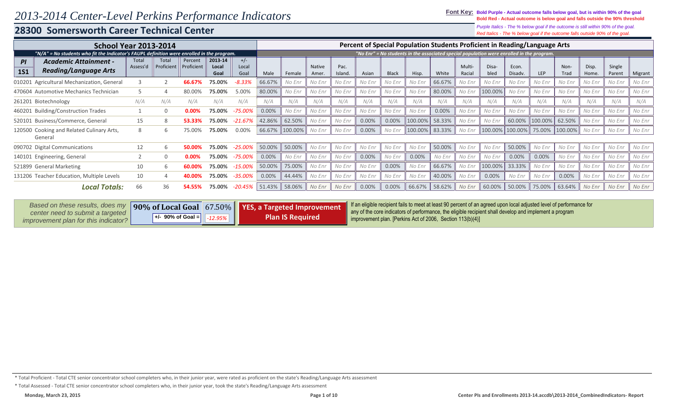#### **28300 Somersworth Career Technical Center**

*Red Italics - The % below goal if the outcome falls outside 90% of the goal. Purple Italics - The % below goal if the outcome is still within 90% of the goal.*

|                                                                                  | <b>School Year 2013-2014</b><br>"N/A" = No students who fit the Indicator's FAUPL definition were enrolled in the program. |                     |                       |                          |                        |        |         |                 |                 |        |              |         |        |                  | Percent of Special Population Students Proficient in Reading/Language Arts                |                  |         |              |                |                  |         |
|----------------------------------------------------------------------------------|----------------------------------------------------------------------------------------------------------------------------|---------------------|-----------------------|--------------------------|------------------------|--------|---------|-----------------|-----------------|--------|--------------|---------|--------|------------------|-------------------------------------------------------------------------------------------|------------------|---------|--------------|----------------|------------------|---------|
|                                                                                  |                                                                                                                            |                     |                       |                          |                        |        |         |                 |                 |        |              |         |        |                  | "No Enr" = No students in the associated special population were enrolled in the program. |                  |         |              |                |                  |         |
| <b>Academic Attainment -</b><br>PI<br><b>Reading/Language Arts</b><br><b>1S1</b> | Total<br>Assess'd                                                                                                          | Total<br>Proficient | Percent<br>Proficient | 2013-14<br>Local<br>Goal | $+/-$<br>Local<br>Goal | Male   | Female  | Native<br>Amer. | Pac.<br>Island. | Asian  | <b>Black</b> | Hisp.   | White  | Multi-<br>Racial | Disa-<br>bled                                                                             | Econ.<br>Disadv. | LEP     | Non-<br>Trad | Disp.<br>Home. | Single<br>Parent | Migrant |
| 010201 Agricultural Mechanization, General                                       |                                                                                                                            |                     | 66.67%                | 75.00%                   | $-8.33%$               | 66.67% | No Enr  | No Enr          | No Enr          | No Enr | No Enr       | No Enr  | 66.67% | No Enr           | No Enr                                                                                    | No Enr           | No Enr  | No Enr       | No Enr         | No Enr           | No Enr  |
| 470604 Automotive Mechanics Technician                                           |                                                                                                                            |                     | 80.00%                | 75.00%                   | 5.00%                  | 80.00% | No Enr  | No Enr          | No Enr          | No Enr | No Enr       | No Enr  | 80.00% | No Enr           | 100.00%                                                                                   | No Enr           | No Enr  | No Enr       | No Enr         | No Enr           | No Enr  |
| 261201 Biotechnology                                                             | N/A                                                                                                                        | N/A                 | N/A                   | N/A                      | N/A                    | N/A    | N/A     | N/A             | N/A             | N/A    | N/A          | N/A     | N/A    | N/A              | N/A                                                                                       | N/A              | N/A     | N/A          | N/A            | N/A              | N/A     |
| 460201 Building/Construction Trades                                              |                                                                                                                            |                     | 0.00%                 | 75.00%                   | $-75.00%$              | 0.00%  | No Enr  | No Enr          | No Enr          | No Enr | No Enr       | No Enr  | 0.00%  | No Enr           | No Enr                                                                                    | No Enr           | No Enr  | No Enr       | No Enr         | No Enr           | No Enr  |
| 520101 Business/Commerce, General                                                | 15                                                                                                                         | 8                   |                       | 75.00%                   | $-21.67%$              | 42.86% | 62.50%  | No Enr          | No Enr          | 0.00%  | 0.00%        | 100.00% | 58.33% | No Enr           | No Enr                                                                                    | 60.00%           | 100.00% | 62.50%       | No Enr         | No Enr           | No Enr  |
| 120500 Cooking and Related Culinary Arts,<br>General                             | 8                                                                                                                          | 6                   | 75.00%                | 75.00%                   | 0.00%                  | 66.67% | 100.00% | No Enr          | No Enr          | 0.00%  | No Enr       | 100.00% | 83.33% | No Enr           | 100.00%                                                                                   | 100.00%          | 75.00%  | 100.00%      | No Enr         | No Enr           | No Enr  |
| 090702 Digital Communications                                                    | 12                                                                                                                         | b                   | 50.00%                | 75.00%                   | $-25.00\%$             | 50.00% | 50.00%  | No Enr          | No Enr          | No Enr | No Enr       | No Enr  | 50.00% | No Enr           | No Enr                                                                                    | 50.00%           | No Enr  | No Enr       | No Enr         | No Enr           | No Enr  |
| 140101 Engineering, General                                                      |                                                                                                                            |                     | 0.00%                 | 75.00%                   | $-75.00%$              | 0.00%  | No Enr  | No Enr          | No Enr          | 0.00%  | No Enr       | 0.00%   | No Enr | No Enr           | No Enr                                                                                    | 0.00%            | 0.00%   | No Enr       | No Enr         | No Enr           | No Enr  |
| 521899 General Marketing                                                         | 10                                                                                                                         | 6                   | 60.00                 | 75.00%                   | $-15.00%$              | 50.00% | 75.00%  | No Enr          | No Enr          | No Enr | 0.00%        | No Enr  | 66.67% | No Enr           | 100.00%                                                                                   | 33.33%           | No Enr  | No Enr       | No Enr         | No Enr           | No Enr  |
| 131206 Teacher Education, Multiple Levels                                        | 10                                                                                                                         |                     |                       | 75.00%                   | $-35.00\%$             | 0.00%  | 44.44%  | No Enr          | No Enr          | No Enr | No Enr       | No Enr  | 40.00% | No Enr           | 0.00%                                                                                     | No Enr           | No Enr  | 0.00%        | No Enr         | No Enr           | No Enr  |
| Local Totals:                                                                    | 66                                                                                                                         | 36                  | 54.55%                | 75.00%                   | $-20.45%$              | 51.43% | 58.06%  | No Enr          | No Enr          | 0.00%  | 0.00%        | 66.67%  | 58.62% | No Enr           | 60.00%                                                                                    | 50.00%           | 75.00%  | 63.64%       | No Enr         | No Enr           | No Enr  |

| Based on these results, does my      |                                           | 90% of Local Goal 67.50%   YES, a Targeted Improvement | If an eligible recipient fails to meet at least 90 percent of an agreed upon local adjusted level of performance for |
|--------------------------------------|-------------------------------------------|--------------------------------------------------------|----------------------------------------------------------------------------------------------------------------------|
| center need to submit a targeted     |                                           |                                                        | any of the core indicators of performance, the eligible recipient shall develop and implement a program              |
| improvement plan for this indicator? | $   +$ /- 90% of Goal = $  $ -12.95% $  $ | <b>Plan IS Required</b>                                | improvement plan. [Perkins Act of 2006, Section 113(b)(4)]                                                           |
|                                      |                                           |                                                        |                                                                                                                      |

\* Total Proficient - Total CTE senior concentrator school completers who, in their junior year, were rated as proficient on the state's Reading/Language Arts assessment

\* Total Assessed - Total CTE senior concentrator school completers who, in their junior year, took the state's Reading/Language Arts assessment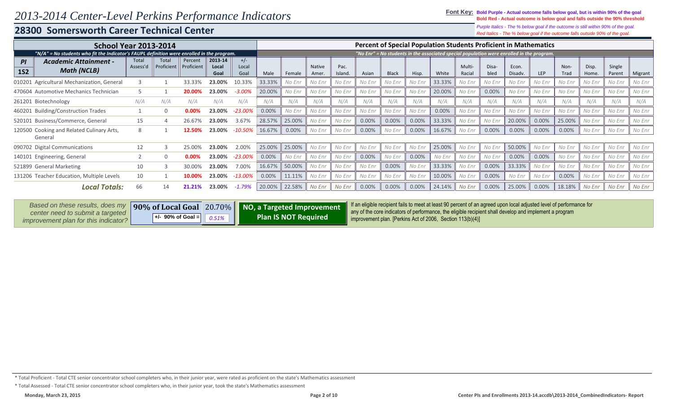### **28300 Somersworth Career Technical Center**

*Red Italics - The % below goal if the outcome falls outside 90% of the goal. Purple Italics - The % below goal if the outcome is still within 90% of the goal.*

| <b>School Year 2013-2014</b>                                                               |                   |                     |                       |                          |                        |        |        |                        |                 | <b>Percent of Special Population Students Proficient in Mathematics</b> |              |        |                                                                                           |                 |               |                  |        |              |                |                  |         |
|--------------------------------------------------------------------------------------------|-------------------|---------------------|-----------------------|--------------------------|------------------------|--------|--------|------------------------|-----------------|-------------------------------------------------------------------------|--------------|--------|-------------------------------------------------------------------------------------------|-----------------|---------------|------------------|--------|--------------|----------------|------------------|---------|
| "N/A" = No students who fit the Indicator's FAUPL definition were enrolled in the program. |                   |                     |                       |                          |                        |        |        |                        |                 |                                                                         |              |        | "No Enr" = No students in the associated special population were enrolled in the program. |                 |               |                  |        |              |                |                  |         |
| <b>Academic Attainment -</b><br>PI<br><b>Math (NCLB)</b><br><b>1S2</b>                     | Total<br>Assess'd | Total<br>Proficient | Percent<br>Proficient | 2013-14<br>Local<br>Goal | $+/-$<br>Local<br>Goal | Male   | Female | <b>Native</b><br>Amer. | Pac.<br>Island. | Asian                                                                   | <b>Black</b> | Hisp.  | White                                                                                     | Multi<br>Racial | Disa-<br>bled | Econ.<br>Disadv. | LEP    | Non-<br>Trad | Disp.<br>Home. | Single<br>Parent | Migrant |
| 010201 Agricultural Mechanization, General                                                 |                   |                     | 33.33%                | 23.00%                   | 10.33%                 | 33.33% | No Enr | No Enr                 | No Enr          | No Enr                                                                  | No Enr       | No Enr | 33.33%                                                                                    | No Enr          | No Enr        | No Enr           | No Enr | No Enr       | No Enr         | No Enr           | No Enr  |
| 470604 Automotive Mechanics Technician                                                     |                   |                     | 20.00%                | 23.00%                   | $-3.00%$               | 20.00% | No Enr | No Enr                 | No Enr          | No Enr                                                                  | No Enr       | No Enr | 20.00%                                                                                    | No Enr          | 0.00%         | No Enr           | No Enr | No Enr       | No Enr         | No Enr           | No Enr  |
| 261201 Biotechnology                                                                       | N/A               | N/A                 | N/A                   | N/A                      | N/A                    | N/A    | N/A    | N/A                    | N/A             | N/A                                                                     | N/A          | N/A    | N/A                                                                                       | N/A             | N/A           | N/A              | N/A    | N/A          | N/A            | N/A              | N/A     |
| 460201 Building/Construction Trades                                                        |                   |                     | 0.00%                 | 23.00%                   | $-23.00\%$             | 0.00%  | No Enr | No Enr                 | No Enr          | No Enr                                                                  | No Enr       | No Enr | 0.00%                                                                                     | No Enr          | No Enr        | No Enr           | No Enr | No Enr       | No Enr         | No Enr           | No Enr  |
| 520101 Business/Commerce, General                                                          | 15                |                     | 26.67%                | 23.00%                   | 3.67%                  | 28.57% | 25.00% | No Enr                 | No Enr          | 0.00%                                                                   | 0.00%        | 0.00%  | 33.33%                                                                                    | No Enr          | No Enr        | 20.00%           | 0.00%  | 25.00%       | No Enr         | No Enr           | No Enr  |
| 120500 Cooking and Related Culinary Arts,<br>General                                       |                   |                     | 12.50%                | 23.00%                   | $-10.50\%$             | 16.67% | 0.00%  | No Enr                 | No Enr          | 0.00%                                                                   | No Enr       | 0.00%  | 16.67%                                                                                    | No Enr          | 0.00%         | 0.00%            | 0.00%  | 0.00%        | No Enr         | No Enr           | No Enr  |
| 090702 Digital Communications                                                              | 12                |                     | 25.00%                | 23.00%                   | 2.00%                  | 25.00% | 25.00% | No Enr                 | No Enr          | No Enr                                                                  | No Enr       | No Enr | 25.00%                                                                                    | No Enr          | No Enr        | 50.00%           | No Enr | No Enr       | No Enr         | No Enr           | No Enr  |
| 140101 Engineering, General                                                                |                   |                     | 0.00%                 | 23.00%                   | $-23.00\%$             | 0.00%  | No Enr | No Enr                 | No Enr          | 0.00%                                                                   | No Enr       | 0.00%  | No Enr                                                                                    | No Enr          | No Enr        | 0.00%            | 0.00%  | No Enr       | No Enr         | No Enr           | No Enr  |
| 521899 General Marketing                                                                   | 10                |                     | 30.00%                | 23.00%                   | 7.00%                  | 16.67% | 50.00% | No Enr                 | No Enr          | No Enr                                                                  | 0.00%        | No Enr | 33.33%                                                                                    | No Enr          | 0.00%         | 33.33%           | No Enr | No Enr       | No Enr         | No Enr           | No Enr  |
| 131206 Teacher Education, Multiple Levels                                                  | 10                |                     |                       | 23.00%                   | -13.00%                | 0.00%  | 11.11% | No Enr                 | No Enr          | No Enr                                                                  | No Enr       | No Enr | 10.00%                                                                                    | No Enr          | 0.00%         | No Enr           | No Enr | 0.00%        | No Enr         | No Enr           | No Enr  |
| Local Totals:                                                                              | 66                | 14                  | 21.21%                | 23.00%                   | $-1.79%$               | 20.00% | 22.58% | No Enr                 | No Enr          | 0.00%                                                                   | 0.00%        | 0.00%  | 24.14%                                                                                    | No Enr          | 0.00%         | 25.00%           | 0.00%  | 18.18%       | No Enr         | No Enr           | No Enr  |

| Based on these results, does my                                          |                     | 90% of Local Goal 20.70% NO, a Targeted Improvement | If an eligible recipient fails to meet at least 90 percent of an agreed upon local adjusted level of performance for<br>any of the core indicators of performance, the eligible recipient shall develop and implement a program |
|--------------------------------------------------------------------------|---------------------|-----------------------------------------------------|---------------------------------------------------------------------------------------------------------------------------------------------------------------------------------------------------------------------------------|
| center need to submit a targeted<br>improvement plan for this indicator? | $+/-$ 90% of Goal = | <b>Plan IS NOT Required</b>                         | improvement plan. [Perkins Act of 2006, Section 113(b)(4)]                                                                                                                                                                      |

\* Total Proficient - Total CTE senior concentrator school completers who, in their junior year, were rated as proficient on the state's Mathematics assessment

<sup>\*</sup> Total Assessed - Total CTE senior concentrator school completers who, in their junior year, took the state's Mathematics assessment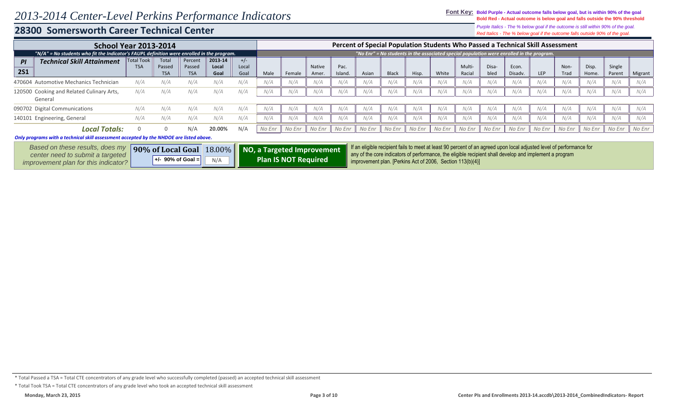#### **28300 Somersworth Career Technical Center**

*Red Italics - The % below goal if the outcome falls outside 90% of the goal. Purple Italics - The % below goal if the outcome is still within 90% of the goal.*

| <b>School Year 2013-2014</b>                                                                 |                                 |                               |                                 |                          |                        |        |        |                        |                 | Percent of Special Population Students Who Passed a Technical Skill Assessment |        |        |        |                  |               |                  |                                                                                           |              |                |                  |         |
|----------------------------------------------------------------------------------------------|---------------------------------|-------------------------------|---------------------------------|--------------------------|------------------------|--------|--------|------------------------|-----------------|--------------------------------------------------------------------------------|--------|--------|--------|------------------|---------------|------------------|-------------------------------------------------------------------------------------------|--------------|----------------|------------------|---------|
| "N/A" = No students who fit the Indicator's FAUPL definition were enrolled in the program. " |                                 |                               |                                 |                          |                        |        |        |                        |                 |                                                                                |        |        |        |                  |               |                  | "No Enr" = No students in the associated special population were enrolled in the program. |              |                |                  |         |
| <b>Technical Skill Attainment</b><br>PI<br><b>2S1</b>                                        | <b>Total Took</b><br><b>TSA</b> | Total<br>Passed<br><b>TSA</b> | Percent<br>Passed<br><b>TSA</b> | 2013-14<br>Local<br>Goal | $+/-$<br>Local<br>Goal | Male   | Female | <b>Native</b><br>Amer. | Pac.<br>Island. | Asian                                                                          | Black  | Hisp.  | White  | Multi-<br>Racial | Disa-<br>bled | Econ.<br>Disadv. | <b>LEP</b>                                                                                | Non-<br>Trad | Disp.<br>Home. | Single<br>Parent | Migrant |
| 470604 Automotive Mechanics Technician                                                       | N/A                             | N/A                           | N/A                             | N/A                      | N/A                    | N/A    | N/A    | N/A                    | N/A             | N/A                                                                            | N/A    | N/A    | N/A    | N/A              | N/A           | N/A              | N/A                                                                                       | N/A          | N/A            | N/A              | N/A     |
| 120500 Cooking and Related Culinary Arts,<br>General                                         | N/A                             | N/A                           | N/A                             | N/A                      | N/A                    | N/A    | N/A    | N/A                    | N/A             | N/A                                                                            | N/A    | N/A    | N/A    | N/A              | N/A           | N/A              | N/A                                                                                       | N/A          | N/A            | N/A              | N/A     |
| 090702 Digital Communications                                                                | N/A                             | N/A                           |                                 | N/A                      | N/A                    | N/A    | N/A    | N/A                    | N/A             | N/A                                                                            | N/A    | N/A    | N/A    | N/A              | N/A           | N/A              | N/A                                                                                       | N/A          | N/A            | N/A              | N/A     |
| 140101 Engineering, General                                                                  | N/A                             | N/A                           | N/A                             | N/A                      | N/A                    | N/A    | N/A    | N/A                    | N/A             | N/A                                                                            | N/A    | N/A    | N/A    | N/A              | N/A           | N/A              | N/A                                                                                       | N/A          | N/A            | N/A              | N/A     |
| Local Totals:                                                                                |                                 |                               | N/A                             | 20.00%                   | N/A                    | No Enr | No Enr | No Enr                 | No Enr          | No Enr                                                                         | No Enr | No Enr | No Enr | No Enr           | No Enr        | No Enr           | No Enr                                                                                    | No Enr       | No Enr         | No Enr           | No Enr  |

#### *Only programs with a technical skill assessment accepted by the NHDOE are listed above.*

| Based on these results, does my      |                     |                   | 90% of Local Goal 18.00% NO, a Targeted Improvement | If an eligible recipient fails to meet at least 90 percent of an agreed upon local adjusted level of performance for<br>any of the core indicators of performance, the eligible recipient shall develop and implement a program |
|--------------------------------------|---------------------|-------------------|-----------------------------------------------------|---------------------------------------------------------------------------------------------------------------------------------------------------------------------------------------------------------------------------------|
| center need to submit a targeted     | $+/-$ 90% of Goal = | $N/A$ $\parallel$ | Plan IS NOT Required                                |                                                                                                                                                                                                                                 |
| improvement plan for this indicator? |                     |                   |                                                     | $\parallel$ improvement plan. [Perkins Act of 2006, Section 113(b)(4)]                                                                                                                                                          |

<sup>\*</sup> Total Passed a TSA = Total CTE concentrators of any grade level who successfully completed (passed) an accepted technical skill assessment

<sup>\*</sup> Total Took TSA = Total CTE concentrators of any grade level who took an accepted technical skill assessment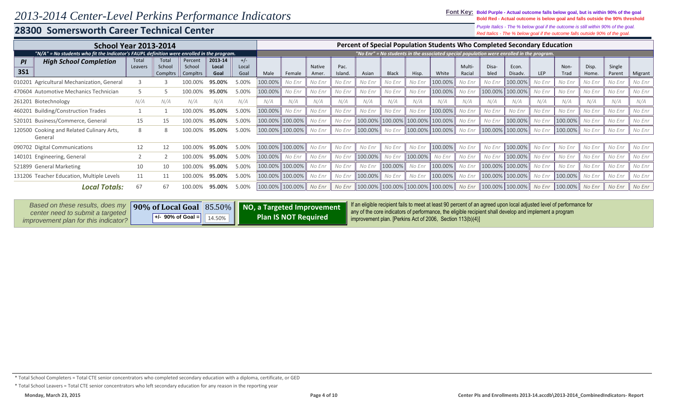### **28300 Somersworth Career Technical Center**

*Red Italics - The % below goal if the outcome falls outside 90% of the goal. Purple Italics - The % below goal if the outcome is still within 90% of the goal.*

| <b>School Year 2013-2014</b>                                                               |                  |                             |                               |                          |                        |         |                 |                 |                 |         |              | Percent of Special Population Students Who Completed Secondary Education                  |                 |                  |               |                  |        |              |                |                  |         |
|--------------------------------------------------------------------------------------------|------------------|-----------------------------|-------------------------------|--------------------------|------------------------|---------|-----------------|-----------------|-----------------|---------|--------------|-------------------------------------------------------------------------------------------|-----------------|------------------|---------------|------------------|--------|--------------|----------------|------------------|---------|
| "N/A" = No students who fit the Indicator's FAUPL definition were enrolled in the program. |                  |                             |                               |                          |                        |         |                 |                 |                 |         |              | "No Enr" = No students in the associated special population were enrolled in the program. |                 |                  |               |                  |        |              |                |                  |         |
| <b>High School Completion</b><br>PI<br><b>3S1</b>                                          | Total<br>Leavers | Total<br>School<br>Compltrs | Percent<br>School<br>Compltrs | 2013-14<br>Local<br>Goal | $+/-$<br>Local<br>Goal | Male    | Female          | Native<br>Amer. | Pac.<br>Island. | Asian   | <b>Black</b> | Hisp.                                                                                     | White           | Multi-<br>Racial | Disa-<br>bled | Econ.<br>Disadv. | LEP    | Non-<br>Trad | Disp.<br>Home. | Single<br>Parent | Migrant |
| 010201 Agricultural Mechanization, General                                                 |                  |                             | 100.009                       | 95.00%                   | 5.00%                  | 100.00% | No Enr          | No Enr          | No Enr          | No Enr  | No Enr       | No Enr                                                                                    | 100.00%         | No Enr           | No Enr        | 100.00%          | No Enr | No Enr       | No Enr         | No Enr           | No Enr  |
| 470604 Automotive Mechanics Technician                                                     |                  |                             | 100.00%                       | 95.00%                   | 5.00%                  | 100.00% | No Enr          | No Enr          | No Enr          | No Enr  | No Enr       | No Enr                                                                                    | 100.00%         | No Enr           | 100.00%       | 100.00%          | No Enr | No Enr       | No Enr         | No Enr           | No Enr  |
| 261201 Biotechnology                                                                       | N/A              | N/A                         | N/A                           | N/A                      | N/A                    | N/A     | N/A             | N/A             | N/A             | N/A     | N/A          | N/A                                                                                       | N/A             | N/A              | N/A           | N/A              | N/A    | N/A          | N/A            | N/A              | N/A     |
| 460201 Building/Construction Trades                                                        |                  |                             | 100.00%                       | 95.00%                   | 5.00%                  | 100.00% | No Enr          | No Enr          | No Enr          | No Enr  | No Enr       | No Enr                                                                                    | 100.00%         | No Enr           | No Enr        | No Enr           | No Enr | No Enr       | No Enr         | No Enr           | No Enr  |
| 520101 Business/Commerce, General                                                          | 15               | 15                          | 100.00%                       | 95.00%                   | 5.00%                  | 100.00% | 100.00%         | No Enr          | No Enr          | 100.00% | 100.00%      | 100.00% 100.00%                                                                           |                 | No Enr           | No Enr        | 100.00%          | No Enr | 100.00%      | No Enr         | No Enr           | No Enr  |
| Cooking and Related Culinary Arts,<br>120500<br>General                                    |                  | 8                           | 100.00%                       | 95.00%                   | 5.00%                  |         | 100.00% 100.00% | No Enr          | No Enr          | 100.00% | No Enr       |                                                                                           | 100.00% 100.00% | No Enr           |               | 100.00% 100.00%  | No Enr | 100.00%      | No Enr         | No Enr           | No Enr  |
| 090702 Digital Communications                                                              | 12               | 12                          | 100.00%                       | 95.00%                   | 5.00%                  |         | 100.00% 100.00% | No Enr          | No Enr          | No Enr  | No Enr       | No Enr                                                                                    | 100.00%         | No Enr           | No Enr        | 100.00%          | No Enr | No Enr       | No Enr         | No Enr           | No Enr  |
| 140101 Engineering, General                                                                |                  |                             | 100.00%                       | 95.00%                   | 5.00%                  | 100.00% | No Enr          | No Enr          | No Enr          | 100.00% | No Enr       | 100.00%                                                                                   | No Enr          | No Enr           | No Enr        | 100.00%          | No Enr | No Enr       | No Enr         | No Enr           | No Enr  |
| 521899 General Marketing                                                                   | 10               | 10                          | 100.00%                       | 95.00%                   | 5.00%                  | 100.00% | 100.00%         | No Enr          | No Enr          | No Enr  | 100.00%      | No Enr                                                                                    | 100.00%         | No Enr           |               | 100.00% 100.00%  | No Enr | No Enr       | No Enr         | No Enr           | No Enr  |
| 131206 Teacher Education, Multiple Levels                                                  | 11               | 11                          | 100.00%                       | 95.00%                   | 5.00%                  |         | 100.00% 100.00% | No Enr          | No Enr          | 100.00% | No Enr       | No Enr                                                                                    | 100.00%         | No Enr           |               | 100.00% 100.00%  | No Enr | 100.00%      | No Enr         | No Enr           | No Enr  |
| <b>Local Totals:</b>                                                                       | 67               | 67                          | 100.0                         | 95.00%                   | 5.00%                  | 100.00% | 100.00%         | No Enr          | No Enr          |         |              | 100.00% 100.00% 100.00% 100.00%                                                           |                 | No Enr           |               | 100.00% 100.00%  | No Enr | 100.00%      | No Enr         | No Enr           | No Enr  |

| Based on these results, does my      |                                                  |                             | 190% of Local Goal 85.50% NO, a Targeted Improvement fine eligible recipient fails to meet at least 90 percent of an agreed upon local adjusted level of performance for<br>any of the core indicators of performance, the eligible recipient shall develop and implement a program |
|--------------------------------------|--------------------------------------------------|-----------------------------|-------------------------------------------------------------------------------------------------------------------------------------------------------------------------------------------------------------------------------------------------------------------------------------|
| center need to submit a targeted     |                                                  | <b>Plan IS NOT Required</b> |                                                                                                                                                                                                                                                                                     |
| improvement plan for this indicator? | $\parallel$ +/- 90% of Goal = $\parallel$ 14.50% |                             | improvement plan. [Perkins Act of 2006, Section 113(b)(4)]                                                                                                                                                                                                                          |

<sup>\*</sup> Total School Completers = Total CTE senior concentrators who completed secondary education with a diploma, certificate, or GED

<sup>\*</sup> Total School Leavers = Total CTE senior concentrators who left secondary education for any reason in the reporting year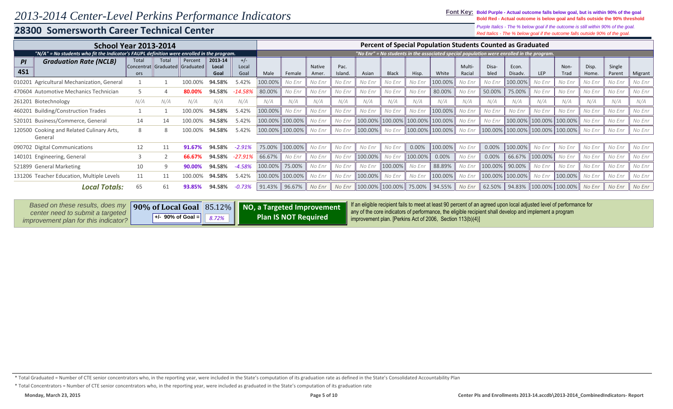### 28300 Somersworth Career Technical Center

Purple Italics - The % below goal if the outcome is still within 90% of the goal. Red Italics - The % below goal if the outcome falls outside 90% of the goal.

|                                                      | <b>School Year 2013-2014</b><br>"N/A" = No students who fit the Indicator's FAUPL definition were enrolled in the program. |                                         |         |                          |                        |         |         |                        |                 |         |              | Percent of Special Population Students Counted as Graduated |                 |                  |               |                  |                                                                                                 |                 |                |                  |         |
|------------------------------------------------------|----------------------------------------------------------------------------------------------------------------------------|-----------------------------------------|---------|--------------------------|------------------------|---------|---------|------------------------|-----------------|---------|--------------|-------------------------------------------------------------|-----------------|------------------|---------------|------------------|-------------------------------------------------------------------------------------------------|-----------------|----------------|------------------|---------|
|                                                      |                                                                                                                            |                                         |         |                          |                        |         |         |                        |                 |         |              |                                                             |                 |                  |               |                  | $"$ No Enr $"$ = No students in the associated special population were enrolled in the program. |                 |                |                  |         |
| <b>Graduation Rate (NCLB)</b><br>PI<br><b>4S1</b>    | Total<br>ors                                                                                                               | Total<br>Concentrat Graduated Graduated | Percent | 2013-14<br>Local<br>Goal | $+/-$<br>Local<br>Goal | Male    | Female  | <b>Native</b><br>Amer. | Pac.<br>Island. | Asian   | <b>Black</b> | Hisp.                                                       | White           | Multi-<br>Racial | Disa-<br>bled | Econ.<br>Disadv. | <b>LEP</b>                                                                                      | Non-<br>Trad    | Disp.<br>Home. | Single<br>Parent | Migrant |
| 010201 Agricultural Mechanization, General           |                                                                                                                            |                                         | 100.00% | 94.58%                   | 5.42%                  | 100.00% | No Enr  | No Enr                 | No Enr          | No Enr  | No Enr       | No Enr                                                      | 100.00%         | No Enr           | No Enr        | 100.00%          | No Enr                                                                                          | No Enr          | No Enr         | No Enr           | No Enr  |
| 470604 Automotive Mechanics Technician               |                                                                                                                            |                                         | 80.00%  | 94.58%                   | $-14.58%$              | 80.00%  | No Enr  | No Enr                 | No Enr          | No Enr  | No Enr       | No Enr                                                      | 80.00%          | No Enr           | 50.00%        | 75.00%           | No Enr                                                                                          | No Enr          | No Enr         | No Enr           | No Enr  |
| 261201 Biotechnology                                 | N/A                                                                                                                        | N/A                                     | N/A     | N/A                      | N/A                    | N/A     | N/A     | N/A                    | N/A             | N/A     | N/A          | N/A                                                         | N/A             | N/A              | N/A           | N/A              | N/A                                                                                             | N/A             | N/A            | N/A              | N/A     |
| 460201 Building/Construction Trades                  |                                                                                                                            |                                         | 100.00% | 94.58%                   | 5.42%                  | 100.00% | No Enr  | No Enr                 | No Enr          | No Enr  | No Enr       | No Enr                                                      | 100.00%         | No Enr           | No Enr        | No Enr           | No Enr                                                                                          | No Enr          | No Enr         | No Enr           | No Enr  |
| 520101 Business/Commerce, General                    | 14                                                                                                                         | 14                                      | 100.00% | 94.58%                   | 5.42%                  | 100.00% | 100.00% | No Enr                 | No Enr          | 100.00% | 100.00%      | 100.00%   100.00%                                           |                 | No Enr           | No Enr        | 100.00%          | 100.00%                                                                                         | 100.00%         | No Enr         | No Enr           | No Enr  |
| 120500 Cooking and Related Culinary Arts,<br>General | 8                                                                                                                          | 8                                       | 100.00% | 94.58%                   | 5.42%                  | 100.00% | 100.00% | No Enr                 | No Enr          | 100.00% | No Enr       |                                                             | 100.00% 100.00% | No Enr           |               | 100.00% 100.00%  |                                                                                                 | 100.00% 100.00% | No Enr         | No Enr           | No Enr  |
| 090702 Digital Communications                        | 12                                                                                                                         | 11                                      | 91.67%  | 94.58%                   | $-2.91%$               | 75.00%  | 100.00% | No Enr                 | No Enr          | No Enr  | No Enr       | 0.00%                                                       | 100.00%         | No Enr           | 0.00%         | 100.00%          | No Enr                                                                                          | No Enr          | No Enr         | No Enr           | No Enr  |
| 140101 Engineering, General                          |                                                                                                                            |                                         | 66.67%  | 94.58%                   | $-27.91%$              | 66.67%  | No Enr  | No Enr                 | No Enr          | 100.00% | No Enr       | 100.00%                                                     | 0.00%           | No Enr           | 0.00%         | 66.67%           | 100.00%                                                                                         | No Enr          | No Enr         | No Enr           | No Enr  |
| 521899 General Marketing                             | 10                                                                                                                         |                                         | 90.00%  | 94.58%                   | $-4.58%$               | 100.00% | 75.00%  | No Enr                 | No Enr          | No Enr  | 100.00%      | No Enr                                                      | 88.89%          | No Enr           | 100.00%       | 90.00%           | No Enr                                                                                          | No Enr          | No Enr         | No Enr           | No Enr  |
| 131206 Teacher Education, Multiple Levels            | 11                                                                                                                         | 11                                      | 100.00% | 94.58%                   | 5.42%                  | 100.00% | 100.00% | No Enr                 | No Enr          | 100.00% | No Enr       | No Enr                                                      | 100.00%         | No Enr           |               | 100.00% 100.00%  | No Enr                                                                                          | 100.00%         | No Enr         | No Enr           | No Enr  |
| Local Totals:                                        | 65                                                                                                                         | 61                                      | 93.85%  | 94.58%                   | $-0.73%$               | 91.43%  | 96.67%  | No Enr                 | No Enr          | 100.00% | 100.00%      | 75.00%                                                      | 94.55%          | No Enr           | 62.50%        | 94.83%           | 100.00%                                                                                         | 100.00%         | No Enr         | No Enr           | No Enr  |

| Based on these results, does my                                            |                                           | 190% of Local Goal 85.12% NO, a Targeted Improvement | If an eligible recipient fails to meet at least 90 percent of an agreed upon local adjusted level of performance for<br>any of the core indicators of performance, the eligible recipient shall develop and implement a program |
|----------------------------------------------------------------------------|-------------------------------------------|------------------------------------------------------|---------------------------------------------------------------------------------------------------------------------------------------------------------------------------------------------------------------------------------|
| center need to submit a targeted  <br>improvement plan for this indicator? | $\  +$ /- 90% of Goal = $\  8.72\% \  \ $ | <b>Plan IS NOT Required</b>                          | If improvement plan. [Perkins Act of 2006, Section $113(b)(4)$ ]                                                                                                                                                                |

\* Total Concentrators = Number of CTE senior concentrators who, in the reporting year, were included as graduated in the State's computation of its graduation rate

<sup>\*</sup> Total Graduated = Number of CTE senior concentrators who, in the reporting year, were included in the State's computation of its graduation rate as defined in the State's Consolidated Accountability Plan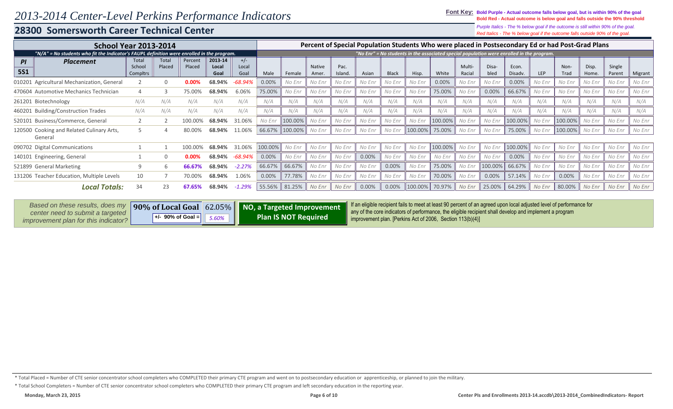### **28300 Somersworth Career Technical Center**

*Red Italics - The % below goal if the outcome falls outside 90% of the goal. Purple Italics - The % below goal if the outcome is still within 90% of the goal.*

| <b>School Year 2013-2014</b>                                                               |                             |                 |                   |                          |                        |         |         |                        |                 |        |              |         |         |                         | Percent of Special Population Students Who were placed in Postsecondary Ed or had Post-Grad Plans |                  |        |              |                |                  |         |
|--------------------------------------------------------------------------------------------|-----------------------------|-----------------|-------------------|--------------------------|------------------------|---------|---------|------------------------|-----------------|--------|--------------|---------|---------|-------------------------|---------------------------------------------------------------------------------------------------|------------------|--------|--------------|----------------|------------------|---------|
| "N/A" = No students who fit the Indicator's FAUPL definition were enrolled in the program. |                             |                 |                   |                          |                        |         |         |                        |                 |        |              |         |         |                         | "No Enr" = No students in the associated special population were enrolled in the program.         |                  |        |              |                |                  |         |
| <b>Placement</b><br>PI<br><b>5S1</b>                                                       | Total<br>School<br>Compltrs | Total<br>Placed | Percent<br>Placed | 2013-14<br>Local<br>Goal | $+/-$<br>Local<br>Goal | Male    | Female  | <b>Native</b><br>Amer. | Pac.<br>Island. | Asian  | <b>Black</b> | Hisp.   | White   | <b>Multi-</b><br>Racial | Disa-<br>bled                                                                                     | Econ.<br>Disadv. | LEP    | Non-<br>Trad | Disp.<br>Home. | Single<br>Parent | Migrant |
| 010201 Agricultural Mechanization, General                                                 |                             | $\Omega$        | 0.00%             | 68.94%                   | $-68.94%$              | 0.00%   | No Enr  | No Enr                 | No Enr          | No Enr | No Enr       | No Enr  | 0.00%   | No Enr                  | No Enr                                                                                            | 0.00%            | No Enr | No Enr       | No Enr         | No Enr           | No Enr  |
| 470604 Automotive Mechanics Technician                                                     |                             |                 | 75.00%            | 68.94%                   | 6.06%                  | 75.00%  | No Enr  | No Enr                 | No Enr          | No Enr | No Enr       | No Enr  | 75.00%  | No Enr                  | 0.00%                                                                                             | 66.67%           | No Enr | No Enr       | No Enr         | No Enr           | No Enr  |
| 261201 Biotechnology                                                                       | N/A                         | N/A             | N/A               | N/A                      | N/A                    | N/A     | N/A     | N/A                    | N/A             | N/A    | N/A          | N/A     | N/A     | N/A                     | N/A                                                                                               | N/A              | N/A    | N/A          | N/A            | N/A              | N/A     |
| <b>Building/Construction Trades</b><br>460201                                              | N/A                         | N/A             | N/A               | N/A                      | N/A                    | N/A     | N/A     | N/A                    | N/A             | N/A    | N/A          | N/A     | N/A     | N/A                     | N/A                                                                                               | N/A              | N/A    | N/A          | N/A            | N/A              | N/A     |
| Business/Commerce, General<br>520101                                                       |                             |                 | 100.00%           | 68.94%                   | 31.06%                 | No Enr  | 100.00% | No Enr                 | No Enr          | No Enr | No Enr       | No Enr  | 100.00% | No Enr                  | No Enr                                                                                            | 100.00%          | No Enr | 100.00%      | No Enr         | No Enr           | No Enr  |
| Cooking and Related Culinary Arts,<br>120500<br>General                                    |                             |                 |                   | 68.94%                   | 11.06%                 | 66.67%  | 100.00% | No Enr                 | No Enr          | No Enr | No Enr       | 100.00% | 75.00%  | No Enr                  | No Enr                                                                                            | 75.00%           | No Enr | 100.00%      | No Enr         | No Enr           | No Enr  |
| 090702 Digital Communications                                                              |                             |                 | 100.00            | 68.94%                   | 31.06%                 | 100.00% | No Enr  | No Enr                 | No Enr          | No Enr | No Enr       | No Enr  | 100.00% | No Enr                  | No Enr                                                                                            | 100.00%          | No Enr | No Enr       | No Enr         | No Enr           | No Enr  |
| 140101<br>Engineering, General                                                             |                             | 0               |                   | 68.94%                   | -68.94%                | 0.00%   | No Enr  | No Enr                 | No Enr          | 0.00%  | No Enr       | No Enr  | No Enr  | No Enr                  | No Enr                                                                                            | 0.00%            | No Enr | No Enr       | No Enr         | No Enr           | No Enr  |
| 521899 General Marketing                                                                   |                             | b               | 66.67%            | 68.94%                   | $-2.27%$               | 66.67%  | 66.67%  | No Enr                 | No Enr          | No Enr | 0.00%        | No Enr  | 75.00%  | No Enr                  | 100.00%                                                                                           | 66.67%           | No Enr | No Enr       | No Enr         | No Enr           | No Enr  |
| 131206 Teacher Education, Multiple Levels                                                  | 10                          |                 | 70.00%            | 68.94%                   | 1.06%                  | 0.00%   | 77.78%  | No Enr                 | No Enr          | No Enr | No Enr       | No Enr  | 70.00%  | No Enr                  | 0.00%                                                                                             | 57.14%           | No Enr | 0.00%        | No Enr         | No Enr           | No Enr  |
| <b>Local Totals:</b>                                                                       | 34                          | 23              |                   | 68.94%                   | $-1.29%$               | 55.56%  | 81.25%  | No Enr                 | No Enr          | 0.00%  | 0.00%        | 100.00% | 70.97%  | No Enr                  | 25.00%                                                                                            | 64.29%           | No Enr | 80.00%       | No Enr         | No Enr           | No Enr  |

| Based on these results, does my             |                                 | 90% of Local Goal 62.05%   NO, a Targeted Improvement | 1 If an eligible recipient fails to meet at least 90 percent of an agreed upon local adjusted level of performance for |
|---------------------------------------------|---------------------------------|-------------------------------------------------------|------------------------------------------------------------------------------------------------------------------------|
| center need to submit a targeted            | +/- 90% of Goal $=$<br>$5.60\%$ | <b>Plan IS NOT Required</b>                           | any of the core indicators of performance, the eligible recipient shall develop and implement a program                |
| <i>improvement plan for this indicator?</i> |                                 |                                                       | $\parallel$ improvement plan. [Perkins Act of 2006, Section 113(b)(4)]                                                 |

\* Total School Completers = Number of CTE senior concentrator school completers who COMPLETED their primary CTE program and left secondary education in the reporting year.

<sup>\*</sup> Total Placed = Number of CTE senior concentrator school completers who COMPLETED their primary CTE program and went on to postsecondary education or apprenticeship, or planned to join the military.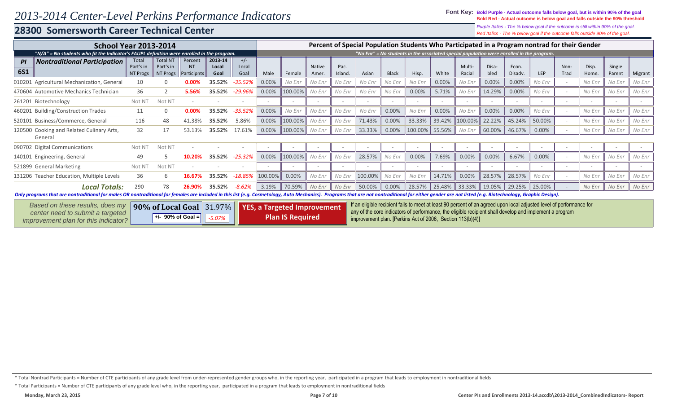### **28300 Somersworth Career Technical Center**

*Red Italics - The % below goal if the outcome falls outside 90% of the goal. Purple Italics - The % below goal if the outcome is still within 90% of the goal.*

| <b>School Year 2013-2014</b>                                                                                                                                                                                                   |                                       |                                          |                                     |                                                                                 |                        |         |         |                 |                                                            |         |                          |         |        |                                                                                                                                                                                                                                 |               |                  | Percent of Special Population Students Who Participated in a Program nontrad for their Gender |              |                |                  |         |
|--------------------------------------------------------------------------------------------------------------------------------------------------------------------------------------------------------------------------------|---------------------------------------|------------------------------------------|-------------------------------------|---------------------------------------------------------------------------------|------------------------|---------|---------|-----------------|------------------------------------------------------------|---------|--------------------------|---------|--------|---------------------------------------------------------------------------------------------------------------------------------------------------------------------------------------------------------------------------------|---------------|------------------|-----------------------------------------------------------------------------------------------|--------------|----------------|------------------|---------|
| "N/A" = No students who fit the Indicator's FAUPL definition were enrolled in the program.                                                                                                                                     |                                       |                                          |                                     |                                                                                 |                        |         |         |                 |                                                            |         |                          |         |        |                                                                                                                                                                                                                                 |               |                  | "No Enr" = No students in the associated special population were enrolled in the program.     |              |                |                  |         |
| <b>Nontraditional Participation</b><br>PI<br><b>6S1</b>                                                                                                                                                                        | Total<br>Part's in<br><b>NT Progs</b> | <b>Total NT</b><br>Part's in<br>NT Progs | Percent<br><b>NT</b><br>Participnts | 2013-14<br>Local<br>Goal                                                        | $+/-$<br>Local<br>Goal | Male    | Female  | Native<br>Amer. | Pac.<br>Island                                             | Asian   | <b>Black</b>             | Hisp.   | White  | <b>Multi-</b><br>Racial                                                                                                                                                                                                         | Disa-<br>bled | Econ.<br>Disady. | <b>LEP</b>                                                                                    | Non-<br>Trad | Disp.<br>Home. | Single<br>Parent | Migrant |
| 010201 Agricultural Mechanization, General                                                                                                                                                                                     | 10                                    |                                          | 0.00%                               | 35.52%                                                                          | $-35.52%$              | 0.00%   | No Enr  | No Enr          | No Enr                                                     | No Enr  | No Enr                   | No Enr  | 0.00%  | No Enr                                                                                                                                                                                                                          | 0.00%         | 0.00%            | No Enr                                                                                        |              | No Enr         | No Enr           | No Enr  |
| 470604 Automotive Mechanics Technician                                                                                                                                                                                         | 36                                    |                                          | 5.56%                               | 35.52%                                                                          | -29.96%                | 0.00%   | 100.00% | No Enr          | No Enr                                                     | No Enr  | No Enr                   | 0.00%   | 5.71%  | No Enr                                                                                                                                                                                                                          | 14.29%        | 0.00%            | No Enr                                                                                        |              | No Enr         | No Enr           | No Enr  |
| 261201 Biotechnology                                                                                                                                                                                                           | Not N1                                | Not N7                                   |                                     |                                                                                 |                        |         |         |                 |                                                            |         |                          |         |        |                                                                                                                                                                                                                                 |               |                  |                                                                                               |              |                |                  |         |
| 460201 Building/Construction Trades                                                                                                                                                                                            | 11                                    | $\Omega$                                 | 0.00%                               | 35.52%                                                                          | $-35.52%$              | 0.00%   | No Enr  | No Enr          | No Enr                                                     | No Enr  | $0.00\%$                 | No Enr  | 0.00%  | No Enr                                                                                                                                                                                                                          | 0.00%         | 0.00%            | No Enr                                                                                        |              | No Enr         | No Enr           | No Enr  |
| 520101 Business/Commerce, General                                                                                                                                                                                              | 116                                   | 48                                       | 41.38%                              | 35.52%                                                                          | 5.86%                  | 0.00%   | 100.00% | No Enr          | No Enr                                                     | 71.43%  | 0.00%                    | 33.33%  | 39.42% | 100.00%                                                                                                                                                                                                                         | 22.22%        | 45.24%           | 50.00%                                                                                        |              | No Enr         | No Enr           | No Enr  |
| 120500 Cooking and Related Culinary Arts,<br>General                                                                                                                                                                           | 32                                    | 17                                       | 53.13%                              | 35.52%                                                                          | 17.61%                 | 0.00%   | 100.00% | No Enr          | No Enr                                                     | 33.33%  | 0.00%                    | 100.00% | 55.56% | No Enr                                                                                                                                                                                                                          | 60.00%        | 46.67%           | 0.00%                                                                                         |              | No Enr         | No Enr           | No Enr  |
| 090702 Digital Communications                                                                                                                                                                                                  | Not N <sub>1</sub>                    | Not N7                                   |                                     |                                                                                 |                        |         |         |                 |                                                            |         | $\overline{\phantom{a}}$ |         |        |                                                                                                                                                                                                                                 |               |                  |                                                                                               |              |                |                  |         |
| 140101 Engineering, General                                                                                                                                                                                                    | 49                                    |                                          |                                     | 35.52%                                                                          | $-25.32%$              | 0.00%   | 100.00% | No Enr          | No Enr                                                     | 28.57%  | No Enr                   | 0.00%   | 7.69%  | 0.00%                                                                                                                                                                                                                           | 0.00%         | 6.67%            | 0.00%                                                                                         |              | No Enr         | No Enr           | No Enr  |
| 521899 General Marketing                                                                                                                                                                                                       | Not N <sub>1</sub>                    | Not NT                                   |                                     |                                                                                 |                        |         |         |                 |                                                            |         |                          |         |        |                                                                                                                                                                                                                                 |               |                  |                                                                                               |              |                | $\sim$           |         |
| 131206 Teacher Education, Multiple Levels                                                                                                                                                                                      | 36                                    | 6                                        |                                     | 35.52%                                                                          | $-18.85%$              | 100.00% | 0.00%   | No Enr          | No Enr                                                     | 100.00% | No Enr                   | No Enr  | 14.71% | 0.00%                                                                                                                                                                                                                           | 28.57%        | 28.57%           | No Enr                                                                                        |              | No Enr         | No Enr           | No Enr  |
| <b>Local Totals:</b>                                                                                                                                                                                                           | 290                                   | 78                                       |                                     | 35.52%                                                                          | $-8.62%$               | 3.19%   | 70.59%  | No Enr          | No Enr                                                     | 50.00%  | 0.00%                    | 28.57%  | 25.48% | 33.33%                                                                                                                                                                                                                          | 19.05%        | 29.25%           | 25.00%                                                                                        |              | No Enr         | No Enr           | No Enr  |
| Only programs that are nontraditional for males OR nontraditional for females are included in this list (e.g. Cosmetology, Auto Mechanics). Programs that are not nontraditional for either gender are not listed (e.g. Biotec |                                       |                                          |                                     |                                                                                 |                        |         |         |                 |                                                            |         |                          |         |        |                                                                                                                                                                                                                                 |               |                  |                                                                                               |              |                |                  |         |
| Based on these results, does my<br>center need to submit a targeted<br>improvement plan for this indicator?                                                                                                                    |                                       |                                          |                                     | 90% of Local Goal 31.97% YES, a Targeted Improvement<br><b>Plan IS Required</b> |                        |         |         |                 | improvement plan. [Perkins Act of 2006, Section 113(b)(4)] |         |                          |         |        | If an eligible recipient fails to meet at least 90 percent of an agreed upon local adjusted level of performance for<br>any of the core indicators of performance, the eligible recipient shall develop and implement a program |               |                  |                                                                                               |              |                |                  |         |

\* Total Participants = Number of CTE participants of any grade level who, in the reporting year, participated in a program that leads to employment in nontraditional fields

<sup>\*</sup> Total Nontrad Participants = Number of CTE participants of any grade level from under-represented gender groups who, in the reporting year, participated in a program that leads to employment in nontraditional fields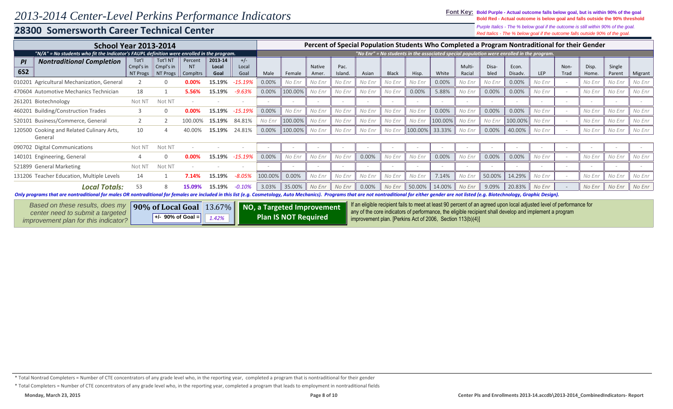### 28300 Somersworth Career Technical Center

Purple Italics - The % below goal if the outcome is still within 90% of the goal. Red Italics - The % below goal if the outcome falls outside 90% of the goal.

|                                                                                                                                                                                                                                | <b>School Year 2013-2014</b> |                                                       |                       |               |               |         |                             |                |                |        |              |                                                                                                                                                                       |                          |                         |               |                  |            |              | Percent of Special Population Students Who Completed a Program Nontraditional for their Gender |                  |         |
|--------------------------------------------------------------------------------------------------------------------------------------------------------------------------------------------------------------------------------|------------------------------|-------------------------------------------------------|-----------------------|---------------|---------------|---------|-----------------------------|----------------|----------------|--------|--------------|-----------------------------------------------------------------------------------------------------------------------------------------------------------------------|--------------------------|-------------------------|---------------|------------------|------------|--------------|------------------------------------------------------------------------------------------------|------------------|---------|
| "N/A" = No students who fit the Indicator's FAUPL definition were enrolled in the program.                                                                                                                                     |                              |                                                       |                       |               |               |         |                             |                |                |        |              | "No Enr" = No students in the associated special population were enrolled in the program.                                                                             |                          |                         |               |                  |            |              |                                                                                                |                  |         |
| <b>Nontraditional Completion</b><br>PI                                                                                                                                                                                         | Tot'l                        | Tot'l N1                                              | Percent               | 2013-14       | $+/-$         |         |                             |                |                |        |              |                                                                                                                                                                       |                          |                         |               |                  |            |              |                                                                                                |                  |         |
| <b>6S2</b>                                                                                                                                                                                                                     | Cmpl's in<br>NT Progs        | Cmpl's in<br>NT Progs                                 | <b>NT</b><br>Compltrs | Local<br>Goal | Local<br>Goal | Male    | Female                      | Native<br>Amer | Pac.<br>Island | Asian  | <b>Black</b> | Hisp.                                                                                                                                                                 | White                    | <b>Multi-</b><br>Racial | Disa-<br>bled | Econ.<br>Disady. | <b>LEP</b> | Non-<br>Trad | Disp.<br>Home.                                                                                 | Single<br>Parent | Migrant |
| 010201 Agricultural Mechanization, General                                                                                                                                                                                     |                              |                                                       |                       | 15.19%        | $-15.19%$     | 0.00%   | No Enr                      | No Enr         | No Enr         | No Enr | No Enr       | No Enr                                                                                                                                                                | 0.00%                    | No Enr                  | No Enr        | $0.00\%$         | No Enr     |              | No Enr                                                                                         | No Enr           | No Enr  |
| 470604 Automotive Mechanics Technician                                                                                                                                                                                         | 18                           |                                                       | 5.56%                 | 15.19%        | $-9.63%$      | 0.00%   | 100.00%                     | No Enr         | No Enr         | No Enr | No Enr       | 0.00%                                                                                                                                                                 | 5.88%                    | No Enr                  | 0.00%         | 0.00%            | No Enr     |              | No Enr                                                                                         | No Enr           | No Enr  |
| 261201 Biotechnology                                                                                                                                                                                                           | Not N                        | Not N7                                                |                       |               |               |         |                             |                |                |        |              |                                                                                                                                                                       |                          |                         |               |                  |            |              |                                                                                                |                  |         |
| 460201 Building/Construction Trades                                                                                                                                                                                            |                              | $\Omega$                                              |                       | 15.19%        | -15.19%       | 0.00%   | No Enr                      | No Enr         | No Enr         | No Enr | No Enr       | No Enr                                                                                                                                                                | 0.00%                    | No Enr                  | 0.00%         | 0.00%            | No Enr     |              | No Enr                                                                                         | No Enr           | No Enr  |
| 520101 Business/Commerce, General                                                                                                                                                                                              |                              |                                                       |                       | 15.19%        | 84.81%        | No Enr  | 100.00%                     | No Enr         | No Enr         | No Enr | No Enr       | No Enr                                                                                                                                                                | 100.00%                  | No Enr                  | No Enr        | 100.00%          | No Enr     |              | No Enr                                                                                         | No Enr           | No Enr  |
| 120500 Cooking and Related Culinary Arts,<br>General                                                                                                                                                                           | 10                           |                                                       |                       | 15.19%        | 24.81%        | 0.00%   | 100.00%                     | No Enr         | No Enr         | No Enr | No Enr       | 100.00%                                                                                                                                                               | 33.33%                   | No Enr                  | 0.00%         | 40.00%           | No Enr     |              | No Enr                                                                                         | No Enr           | No Enr  |
| 090702 Digital Communications                                                                                                                                                                                                  | Not N <sub>1</sub>           | Not N7                                                |                       |               |               |         |                             |                |                |        | $\sim$       |                                                                                                                                                                       | $\overline{\phantom{a}}$ |                         |               |                  |            |              |                                                                                                | $\sim$           |         |
| 140101 Engineering, General                                                                                                                                                                                                    |                              | $\Omega$                                              |                       | 15.19%        | $-15.19\%$    | 0.00%   | No Enr                      | No Enr         | No Enr         | 0.00%  | No Enr       | No Enr                                                                                                                                                                | 0.00%                    | No Enr                  | 0.00%         | 0.00%            | No Enr     |              | No Enr                                                                                         | No Enr           | No Enr  |
| 521899 General Marketing                                                                                                                                                                                                       | Not N <sub>1</sub>           | Not N7                                                |                       |               |               |         |                             |                |                |        |              |                                                                                                                                                                       |                          |                         |               |                  |            |              |                                                                                                |                  |         |
| 131206 Teacher Education, Multiple Levels                                                                                                                                                                                      | 14                           |                                                       | 7.14%                 | 15.19%        | $-8.05%$      | 100.00% | 0.00%                       | No Enr         | No Enr         | No Enr | No Enr       | No Enr                                                                                                                                                                | 7.14%                    | No Enr                  | 50.00%        | 14.29%           | No Enr     |              | No Enr                                                                                         | No Enr           | No Enr  |
| <b>Local Totals:</b>                                                                                                                                                                                                           | 53                           |                                                       | 15.19%                | 3.03%         | 35.00%        | No Enr  | No Enr                      | 0.00%          | No Enr         | 50.00% | 14.00%       | No Enr                                                                                                                                                                | 9.09%                    | 20.83%                  | No Enr        |                  | No Enr     | No Enr       | No Enr                                                                                         |                  |         |
| Only programs that are nontraditional for males OR nontraditional for females are included in this list (e.g. Cosmetology, Auto Mechanics). Programs that are not nontraditional for either gender are not listed (e.g. Biotec |                              |                                                       |                       |               |               |         |                             |                |                |        |              |                                                                                                                                                                       |                          |                         |               |                  |            |              |                                                                                                |                  |         |
| Based on these results, does my                                                                                                                                                                                                |                              | 90% of Local Goal 13.67%   NO, a Targeted Improvement |                       |               |               |         |                             |                |                |        |              | If an eligible recipient fails to meet at least 90 percent of an agreed upon local adjusted level of performance for                                                  |                          |                         |               |                  |            |              |                                                                                                |                  |         |
| center need to submit a targeted<br>improvement plan for this indicator?                                                                                                                                                       |                              | +/- 90% of Goal =                                     |                       | 1.42%         |               |         | <b>Plan IS NOT Required</b> |                |                |        |              | any of the core indicators of performance, the eligible recipient shall develop and implement a program<br>improvement plan. [Perkins Act of 2006, Section 113(b)(4)] |                          |                         |               |                  |            |              |                                                                                                |                  |         |

<sup>\*</sup> Total Nontrad Completers = Number of CTE concentrators of any grade level who, in the reporting year, completed a program that is nontraditional for their gender

<sup>\*</sup> Total Completers = Number of CTE concentrators of any grade level who, in the reporting year, completed a program that leads to employment in nontraditional fields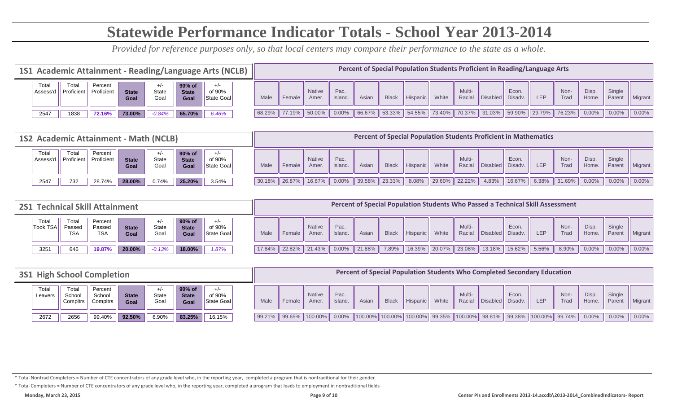# **Statewide Performance Indicator Totals - School Year 2013-2014**

*Provided for reference purposes only, so that local centers may compare their performance to the state as a whole.*

| 1S1 Academic Attainment - Reading/Language Arts (NCLB) |                     |                       |                      |               |                                |                               |      |               |                        |                 |        |              |            |            |                  |          |                  | Percent of Special Population Students Proficient in Reading/Language Arts |                  |                      |                  |          |
|--------------------------------------------------------|---------------------|-----------------------|----------------------|---------------|--------------------------------|-------------------------------|------|---------------|------------------------|-----------------|--------|--------------|------------|------------|------------------|----------|------------------|----------------------------------------------------------------------------|------------------|----------------------|------------------|----------|
| Tota<br>Assess'd                                       | Total<br>Proficient | Percent<br>Proficient | <b>State</b><br>Goal | State<br>Goal | 90% of<br><b>State</b><br>Goal | $+/-$<br>of 90%<br>State Goal | Male | Female        | <b>Native</b><br>Amer. | Pac.<br>Island. | Asian  | <b>Black</b> | Hispanic   | White      | Multi-<br>Racial | Disabled | Econ.<br>Disadv. | LEP                                                                        | Non-<br>Trad     | <b>Disp</b><br>Home. | Single<br>Parent | Migrant  |
| 2547                                                   | 1838                | 72.16%                | 73.00%               | $-0.84%$      | 65.70%                         | 6.46%                         |      | 68.29% 77.19% | $\parallel$ 50.00%     | 0.00%           | 66.67% | 153.33%      | $154.55\%$ | $173.40\%$ | $170.37\%$       |          |                  | $\parallel$ 31.03% $\parallel$ 59.90% $\parallel$ 29.79% $\parallel$       | $\sqrt{26.23\%}$ | $0.00\%$             | $0.00\%$         | $0.00\%$ |

|                   |                                  |                       | 1S2 Academic Attainment - Math (NCLB) |               |                                |                               |        |                    |                       |                 |        |                    |          |           |        |                 | <b>Percent of Special Population Students Proficient in Mathematics</b> |       |              |                      |                  |                   |
|-------------------|----------------------------------|-----------------------|---------------------------------------|---------------|--------------------------------|-------------------------------|--------|--------------------|-----------------------|-----------------|--------|--------------------|----------|-----------|--------|-----------------|-------------------------------------------------------------------------|-------|--------------|----------------------|------------------|-------------------|
| Total<br>Assess'd | <b>Total</b><br><b>Proficien</b> | Percent<br>Proficient | <b>State</b><br>Goal                  | State<br>Goal | 90% of<br><b>State</b><br>Goal | $+/-$<br>of 90%<br>State Goal | Male   | Female             | <b>Native</b><br>Amer | Pac.<br>Island. | Asian  | <b>Black</b>       | Hispanic | White     | Multi- | Racial Disabled | Econ.<br>Disadv.                                                        | LEP   | Non-<br>Trad | <b>Disp</b><br>Home. | Single<br>Parent | <b>Migrant</b>    |
| 2547              | 732                              | 28.74%                | 28.00%                                | 0.74%         | 25.20%                         | $3.54\%$                      | 30.18% | $\parallel$ 26.87% | 16.67%                | $0.00\%$        | 39.58% | $\parallel$ 23.33% | 8.08%    | $29.60\%$ | 22.22% | 4.83%           | 16.67%                                                                  | 6.38% | 31.69%       | $0.00\%$             | $0.00\%$         | $\parallel$ 0.00% |

| <b>2S1 Technical Skill Attainment</b> |                               |                                 |                      |               |                                |                               |           |                                                   |                        |                 |        |              |          |        |                  |                 | Percent of Special Population Students Who Passed a Technical Skill Assessment |            |              |                |                  |                |
|---------------------------------------|-------------------------------|---------------------------------|----------------------|---------------|--------------------------------|-------------------------------|-----------|---------------------------------------------------|------------------------|-----------------|--------|--------------|----------|--------|------------------|-----------------|--------------------------------------------------------------------------------|------------|--------------|----------------|------------------|----------------|
| Tota<br><b>Took TSA</b>               | Total<br>Passed<br><b>TSA</b> | Percent<br>Passed<br><b>TSA</b> | <b>State</b><br>Goal | State<br>Goal | 90% of<br><b>State</b><br>Goal | $+/-$<br>of 90%<br>State Goal | Male      | Female                                            | <b>Native</b><br>Amer. | Pac.<br>Island. | Asiar  | <b>Black</b> | Hispanic | White  | Multi-<br>Racial | <b>Disabled</b> | Econ.<br>Disadv.                                                               | <b>LEP</b> | Non-<br>Trad | Disp.<br>Home. | Single<br>Parent | <b>Migrant</b> |
| 3251                                  | 646                           | 19.87%                          | 20.00%               | $-0.13%$      | 18.00%                         | 1.87%                         | $17.84\%$ | $\parallel$ 22.82% $\parallel$ 21.43% $\parallel$ |                        | $0.00\%$        | 21.88% | 7.89%        | 16.39%   | 20.07% | 23.08%           | $13.18\%$       | 15.62%                                                                         | 5.56%      | 8.90%        | 0.00%          | $0.00\%$         | $0.00\%$       |

| <b>3S1 High School Completion</b> |                                                                                                                                                                          |        |        |       |        |        |      |                    |                        |                 |       |              | Percent of Special Population Students Who Completed Secondary Education |       |                  |                  |       |            |                    |                      |                  |          |
|-----------------------------------|--------------------------------------------------------------------------------------------------------------------------------------------------------------------------|--------|--------|-------|--------|--------|------|--------------------|------------------------|-----------------|-------|--------------|--------------------------------------------------------------------------|-------|------------------|------------------|-------|------------|--------------------|----------------------|------------------|----------|
| Total<br>Leavers                  | Total<br>90% of<br>Percent<br>$+/-$<br>of 90%<br>State<br>School<br>School<br><b>State</b><br><b>State</b><br>Goal<br>State Goal<br>Compltrs<br>Compltrs<br>Goal<br>Goal |        |        |       |        |        | Male | Female             | <b>Native</b><br>Amer. | Pac.<br>Island. | Asian | <b>Black</b> | Hispanic                                                                 | White | Multi-<br>Racial | Disabled Disady. | Econ. | <b>LEP</b> | <b>Non</b><br>Trad | <b>Disp</b><br>Home. | Single<br>Parent | Migrant  |
| 2672                              | 2656                                                                                                                                                                     | 99.40% | 92.50% | 6.90% | 83.25% | 16.15% |      | $\parallel$ 99.65% | $100.00\%$             | $0.00\%$        |       |              | $\ 100.00\%$ 100.00% 100.00% 99.35% 100.00% 98.81% 99.38% 100.00% 99.74% |       |                  |                  |       |            |                    | $0.00\%$             | $0.00\%$         | $0.00\%$ |

\* Total Nontrad Completers = Number of CTE concentrators of any grade level who, in the reporting year, completed a program that is nontraditional for their gender

\* Total Completers = Number of CTE concentrators of any grade level who, in the reporting year, completed a program that leads to employment in nontraditional fields